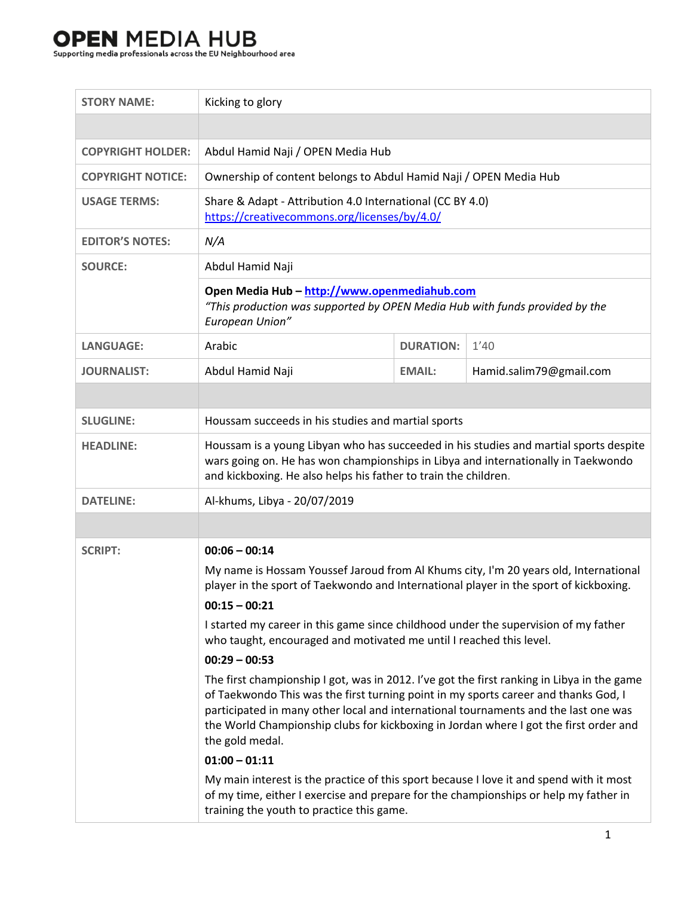## 

| <b>STORY NAME:</b>       | Kicking to glory                                                                                                                                                                                                                                                                                                                                                                     |                  |                         |  |
|--------------------------|--------------------------------------------------------------------------------------------------------------------------------------------------------------------------------------------------------------------------------------------------------------------------------------------------------------------------------------------------------------------------------------|------------------|-------------------------|--|
|                          |                                                                                                                                                                                                                                                                                                                                                                                      |                  |                         |  |
| <b>COPYRIGHT HOLDER:</b> | Abdul Hamid Naji / OPEN Media Hub                                                                                                                                                                                                                                                                                                                                                    |                  |                         |  |
| <b>COPYRIGHT NOTICE:</b> | Ownership of content belongs to Abdul Hamid Naji / OPEN Media Hub                                                                                                                                                                                                                                                                                                                    |                  |                         |  |
| <b>USAGE TERMS:</b>      | Share & Adapt - Attribution 4.0 International (CC BY 4.0)<br>https://creativecommons.org/licenses/by/4.0/                                                                                                                                                                                                                                                                            |                  |                         |  |
| <b>EDITOR'S NOTES:</b>   | N/A                                                                                                                                                                                                                                                                                                                                                                                  |                  |                         |  |
| <b>SOURCE:</b>           | Abdul Hamid Naji                                                                                                                                                                                                                                                                                                                                                                     |                  |                         |  |
|                          | Open Media Hub - http://www.openmediahub.com<br>"This production was supported by OPEN Media Hub with funds provided by the<br>European Union"                                                                                                                                                                                                                                       |                  |                         |  |
| <b>LANGUAGE:</b>         | Arabic                                                                                                                                                                                                                                                                                                                                                                               | <b>DURATION:</b> | 1'40                    |  |
| <b>JOURNALIST:</b>       | Abdul Hamid Naji                                                                                                                                                                                                                                                                                                                                                                     | <b>EMAIL:</b>    | Hamid.salim79@gmail.com |  |
|                          |                                                                                                                                                                                                                                                                                                                                                                                      |                  |                         |  |
| <b>SLUGLINE:</b>         | Houssam succeeds in his studies and martial sports                                                                                                                                                                                                                                                                                                                                   |                  |                         |  |
| <b>HEADLINE:</b>         | Houssam is a young Libyan who has succeeded in his studies and martial sports despite<br>wars going on. He has won championships in Libya and internationally in Taekwondo<br>and kickboxing. He also helps his father to train the children.                                                                                                                                        |                  |                         |  |
| <b>DATELINE:</b>         | Al-khums, Libya - 20/07/2019                                                                                                                                                                                                                                                                                                                                                         |                  |                         |  |
|                          |                                                                                                                                                                                                                                                                                                                                                                                      |                  |                         |  |
| <b>SCRIPT:</b>           | $00:06 - 00:14$<br>My name is Hossam Youssef Jaroud from Al Khums city, I'm 20 years old, International<br>player in the sport of Taekwondo and International player in the sport of kickboxing.<br>$00:15 - 00:21$                                                                                                                                                                  |                  |                         |  |
|                          | I started my career in this game since childhood under the supervision of my father                                                                                                                                                                                                                                                                                                  |                  |                         |  |
|                          | who taught, encouraged and motivated me until I reached this level.                                                                                                                                                                                                                                                                                                                  |                  |                         |  |
|                          | $00:29 - 00:53$                                                                                                                                                                                                                                                                                                                                                                      |                  |                         |  |
|                          | The first championship I got, was in 2012. I've got the first ranking in Libya in the game<br>of Taekwondo This was the first turning point in my sports career and thanks God, I<br>participated in many other local and international tournaments and the last one was<br>the World Championship clubs for kickboxing in Jordan where I got the first order and<br>the gold medal. |                  |                         |  |
|                          | $01:00 - 01:11$                                                                                                                                                                                                                                                                                                                                                                      |                  |                         |  |
|                          | My main interest is the practice of this sport because I love it and spend with it most<br>of my time, either I exercise and prepare for the championships or help my father in<br>training the youth to practice this game.                                                                                                                                                         |                  |                         |  |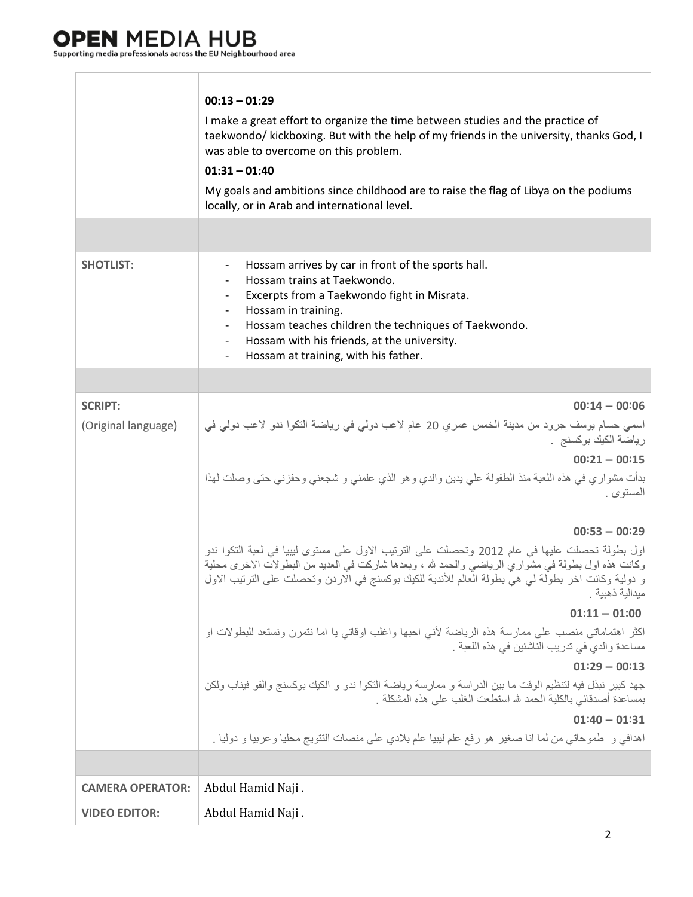T

 $\Box$ 

|                         | $00:13 - 01:29$<br>I make a great effort to organize the time between studies and the practice of<br>taekwondo/ kickboxing. But with the help of my friends in the university, thanks God, I<br>was able to overcome on this problem.<br>$01:31 - 01:40$<br>My goals and ambitions since childhood are to raise the flag of Libya on the podiums<br>locally, or in Arab and international level. |
|-------------------------|--------------------------------------------------------------------------------------------------------------------------------------------------------------------------------------------------------------------------------------------------------------------------------------------------------------------------------------------------------------------------------------------------|
| <b>SHOTLIST:</b>        | Hossam arrives by car in front of the sports hall.<br>Hossam trains at Taekwondo.<br>Excerpts from a Taekwondo fight in Misrata.<br>$\overline{\phantom{a}}$<br>Hossam in training.<br>Hossam teaches children the techniques of Taekwondo.<br>Hossam with his friends, at the university.<br>$\sim$<br>Hossam at training, with his father.<br>$\overline{\phantom{a}}$                         |
|                         |                                                                                                                                                                                                                                                                                                                                                                                                  |
| <b>SCRIPT:</b>          | $00:14 - 00:06$                                                                                                                                                                                                                                                                                                                                                                                  |
| (Original language)     | اسمي حسام يوسف جرود من مدينة الخمس عمري 20 عام لاعب دولي في رياضة التكوا ندو لاعب دولي في<br>رياضة الكيك بوكسنج .<br>$00:21 - 00:15$                                                                                                                                                                                                                                                             |
|                         | ٍ بدأت مشواري في هذه اللعبة منذ الطفولة علي يدين والدي وهو الذي علمني و شجعني وحفزني حتى وصلت لهذا<br>المستوى .                                                                                                                                                                                                                                                                                  |
|                         | $00:53 - 00:29$<br>  اول بطولة تحصلت عليها في عام 2012 وتحصلت على الترتيب الاول على مستوى ليبيا في لعبة التكوا ندو<br>وكانت هذه اول بطولة في مشواري الرياضي والحمد لله ، وبعدها شاركت في العديد من البطولات الاخرى محلية<br>و دولية وكانت اخر بطولة لي هي بطولة العالم للأندية للكيك بوكسنج في الاردن وتحصلت على الترتيب الاول<br>ميدالية ذهبية .<br>$01:11 - 01:00$                             |
|                         | اكثر اهتماماتي منصب على ممارسة هذه الرياضة لأنبى احبها واغلب اوقاتبي يا اما نتمرن ونستعد للبطولات او<br>  مساعدة والدي في تدريب الناشئين في هذه اللعبة .<br>$01:29 - 00:13$                                                                                                                                                                                                                      |
|                         | جهد كبير نبذل فيه لتنظيم الوقت ما بين الدراسة و ممارسة رياضة التكوا ندو و الكيك بوكسنج والفو فيناب ولكن<br>بمساعدة أصدقائي بالكلية الحمد لله استطعت الغلب على هذه المشكلة .                                                                                                                                                                                                                      |
|                         | $01:40 - 01:31$<br>اهدافي و طموحاتي من لما انا صغير هو رفع علم ليبيا علم بلادي على منصات النتويج محليا وعربيا و دوليا .                                                                                                                                                                                                                                                                          |
|                         |                                                                                                                                                                                                                                                                                                                                                                                                  |
|                         |                                                                                                                                                                                                                                                                                                                                                                                                  |
| <b>CAMERA OPERATOR:</b> | Abdul Hamid Naji.                                                                                                                                                                                                                                                                                                                                                                                |
| <b>VIDEO EDITOR:</b>    | Abdul Hamid Naji.                                                                                                                                                                                                                                                                                                                                                                                |